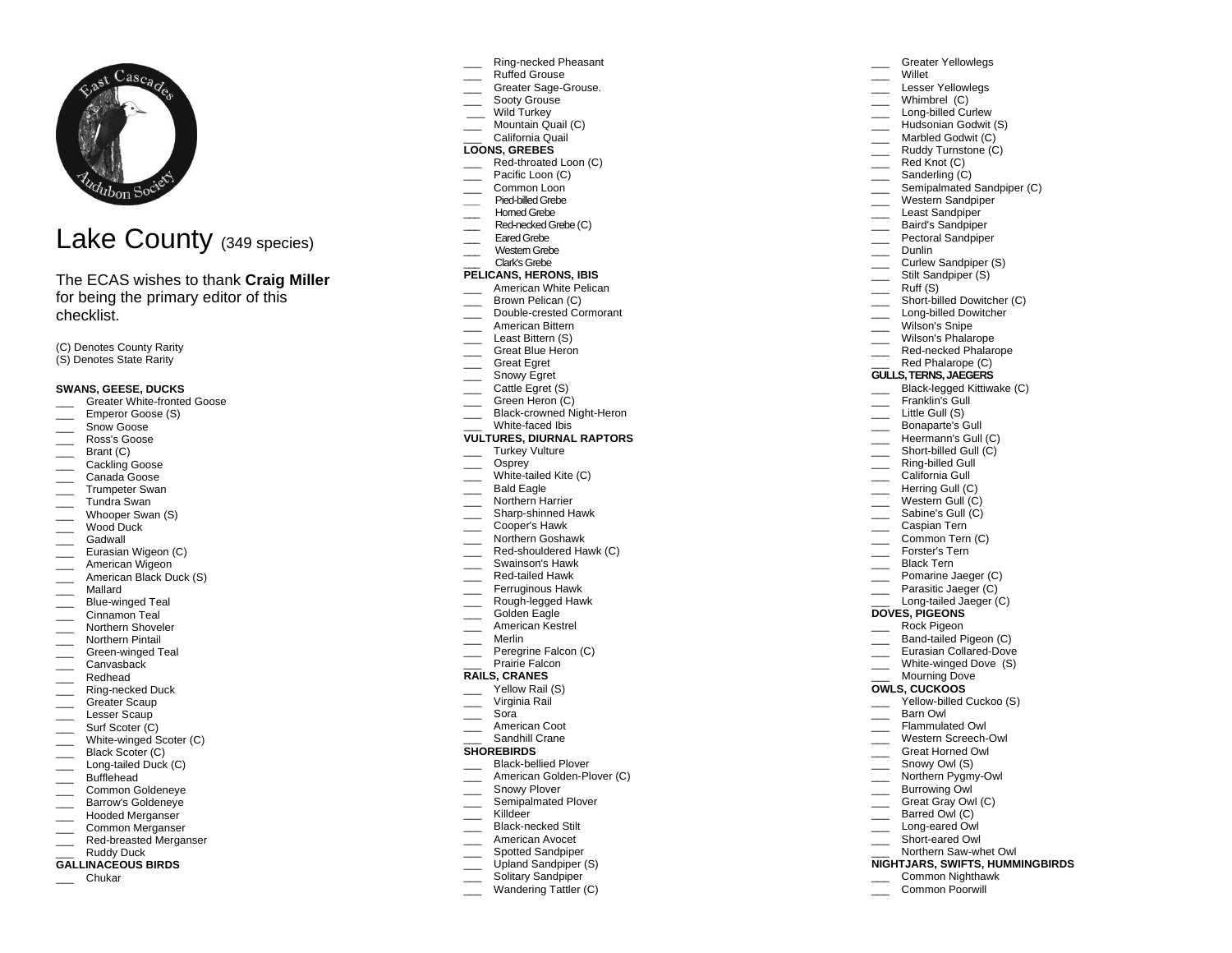

# Lake County (349 species)

# The ECAS wishes to thank **Craig Miller** for being the primary editor of this checklist.

(C) Denotes County Rarity (S) Denotes State Rarity

## **SWANS, GEESE, DUCKS**

- Greater White-fronted Goose
- Emperor Goose (S)
- \_\_\_ Snow Goose
- \_\_\_ Ross's Goose
- Brant (C)
- \_\_\_\_ Cackling Goose
- \_\_\_ Canada Goose
- \_\_\_ Trumpeter Swan
- \_\_\_ Tundra Swan
- \_\_\_ Whooper Swan (S)
- \_\_\_ Wood Duck
- \_\_\_ Gadwall
- Eurasian Wigeon (C)
- \_\_\_ American Wigeon
- \_\_\_ American Black Duck (S)
- \_\_\_ Mallard
- **EXECUTE:** Blue-winged Teal
- \_\_\_ Cinnamon Teal
- \_\_\_ Northern Shoveler
- \_\_\_ Northern Pintail
- \_\_\_ Green-winged Teal
- \_\_\_ Canvasback
- \_\_\_ Redhead
- $\equiv$  Ring-necked Duck
- \_\_\_\_ Greater Scaup
- \_\_\_ Lesser Scaup
- \_\_\_\_ Surf Scoter (C) \_\_\_ White-winged Scoter (C)
- \_\_\_ Black Scoter (C)
- \_\_\_ Long-tailed Duck (C)
- \_\_\_ Bufflehead
- Common Goldeneye
- Barrow's Goldeneye
- \_\_\_ Hooded Merganser
- \_\_\_ Common Merganser
- \_\_\_ Red-breasted Merganser
- Ruddy Duck

# **GALLINACEOUS BIRDS**

\_\_\_ Chukar

Ring-necked Pheasant

Greater Yellowlegs

Lesser Yellowlegs  $\frac{1}{\sqrt{1-\frac{1}{2}}}$  Whimbrel (C) Long-billed Curlew Hudsonian Godwit (S) **Marbled Godwit (C) Example 2** Ruddy Turnstone (C) Red Knot (C) \_\_\_\_ Sanderling (C)

\_\_\_ Semipalmated Sandpiper (C) \_\_\_ Western Sandpiper Least Sandpiper \_\_\_ Baird's Sandpiper Pectoral Sandpiper

> Curlew Sandpiper (S) Stilt Sandpiper (S) Ruff (S)

Short-billed Dowitcher (C) Long-billed Dowitcher

\_\_\_ Willet

\_\_\_ Dunlin

\_\_\_\_ Wilson's Snipe \_\_\_ Wilson's Phalarope Red-necked Phalarope Red Phalarope (C) **GULLS, TERNS, JAEGERS** \_\_\_ Black-legged Kittiwake (C) Franklin's Gull \_\_\_ Little Gull (S) \_\_\_ Bonaparte's Gull Heermann's Gull (C) Short-billed Gull (C) \_\_\_ Ring-billed Gull California Gull Herring Gull (C) Western Gull (C) Sabine's Gull (C) \_\_\_ Caspian Tern Common Tern (C) \_\_\_ Forster's Tern \_\_\_ Black Tern **Example 2** Pomarine Jaeger (C) Parasitic Jaeger (C) Long-tailed Jaeger (C)

**DOVES, PIGEONS** \_\_\_ Rock Pigeon Band-tailed Pigeon (C) \_\_\_ Eurasian Collared-Dove \_\_\_\_ White-winged Dove (S) \_\_\_ Mourning Dove **OWLS, CUCKOOS**

\_\_\_ Barn Owl Flammulated Owl \_\_\_ Western Screech-Owl Great Horned Owl Snowy Owl (S) Northern Pygmy-Owl Burrowing Owl \_\_\_ Great Gray Owl (C) \_\_\_ Barred Owl (C) Long-eared Owl Short-eared Owl Northern Saw-whet Owl **NIGHTJARS, SWIFTS, HUMMINGBIRDS** \_\_\_ Common Nighthawk Common Poorwill

Yellow-billed Cuckoo (S)

- \_\_\_ Ruffed Grouse
- Greater Sage-Grouse.
- Sooty Grouse
- Wild Turkey Mountain Quail (C)
- \_\_\_ California Quail

#### **LOONS, GREBES**

- Red-throated Loon (C)
- Pacific Loon (C)
- Common Loon
- **\_\_\_** Pied-billed Grebe
- \_\_\_ Horned Grebe
- Red-necked Grebe (C)
- Eared Grebe
- \_\_\_ Western Grebe
- \_\_\_ Clark's Grebe **PELICANS, HERONS, IBIS**

# American White Pelican

- Brown Pelican (C)
- \_\_\_ Double-crested Cormorant
- \_\_\_ American Bittern
- Least Bittern (S)
- \_\_\_\_ Great Blue Heron
- \_\_\_ Great Egret
- $\equiv$  Snowy Egret
- Cattle Egret (S)
- \_\_\_ Green Heron (C)
- Black-crowned Night-Heron
- White-faced Ibis

## **VULTURES, DIURNAL RAPTORS**

- \_\_\_ Turkey Vulture
- \_\_\_ Osprey
- \_\_\_ White-tailed Kite (C)
- \_\_\_ Bald Eagle
- \_\_\_ Northern Harrier
- \_\_\_ Sharp-shinned Hawk
- \_\_\_ Cooper's Hawk
- \_\_\_ Northern Goshawk
- Red-shouldered Hawk (C)
- \_\_\_ Swainson's Hawk
- Red-tailed Hawk
- Ferruginous Hawk
- \_\_\_ Rough-legged Hawk Golden Eagle
- \_\_\_ American Kestrel
- \_\_\_ Merlin
- 
- Peregrine Falcon (C) Prairie Falcon

# **RAILS, CRANES**

- 
- Yellow Rail (S) Virginia Rail
- \_\_\_ Sora
- American Coot
- Sandhill Crane

#### **SHOREBIRDS**

\_\_\_ Killdeer

- Black-bellied Plover
- American Golden-Plover (C)
- Snowy Plover
- \_\_\_ Semipalmated Plover Black-necked Stilt

American Avocet Spotted Sandpiper Upland Sandpiper (S) Solitary Sandpiper Wandering Tattler (C)